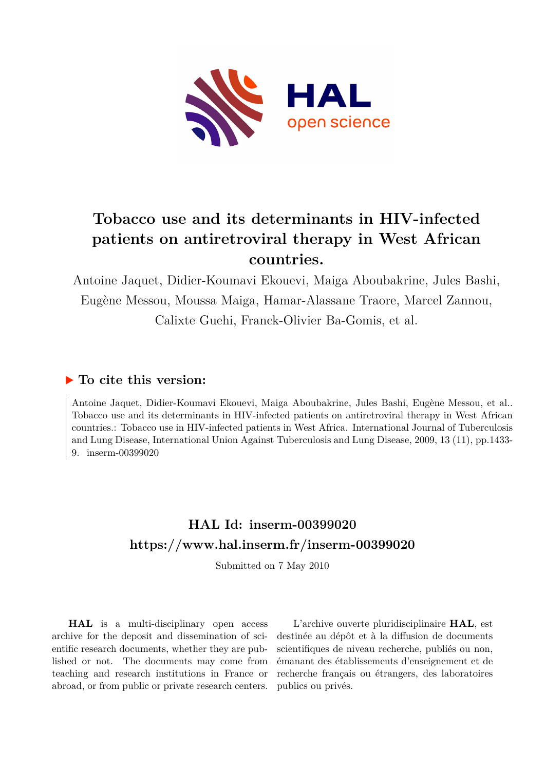

# **Tobacco use and its determinants in HIV-infected patients on antiretroviral therapy in West African countries.**

Antoine Jaquet, Didier-Koumavi Ekouevi, Maiga Aboubakrine, Jules Bashi, Eugène Messou, Moussa Maiga, Hamar-Alassane Traore, Marcel Zannou, Calixte Guehi, Franck-Olivier Ba-Gomis, et al.

# **To cite this version:**

Antoine Jaquet, Didier-Koumavi Ekouevi, Maiga Aboubakrine, Jules Bashi, Eugène Messou, et al.. Tobacco use and its determinants in HIV-infected patients on antiretroviral therapy in West African countries.: Tobacco use in HIV-infected patients in West Africa. International Journal of Tuberculosis and Lung Disease, International Union Against Tuberculosis and Lung Disease, 2009, 13 (11), pp.1433- 9. inserm-00399020

# **HAL Id: inserm-00399020 <https://www.hal.inserm.fr/inserm-00399020>**

Submitted on 7 May 2010

**HAL** is a multi-disciplinary open access archive for the deposit and dissemination of scientific research documents, whether they are published or not. The documents may come from teaching and research institutions in France or abroad, or from public or private research centers.

L'archive ouverte pluridisciplinaire **HAL**, est destinée au dépôt et à la diffusion de documents scientifiques de niveau recherche, publiés ou non, émanant des établissements d'enseignement et de recherche français ou étrangers, des laboratoires publics ou privés.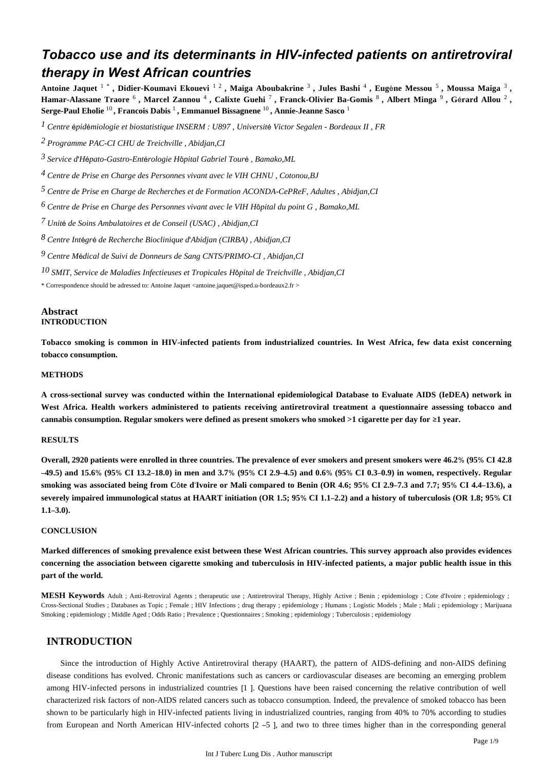# *Tobacco use and its determinants in HIV-infected patients on antiretroviral therapy in West African countries*

Antoine Jaquet <sup>1</sup> \*, Didier-Koumavi Ekouevi <sup>12</sup>, Maiga Aboubakrine <sup>3</sup>, Jules Bashi <sup>4</sup>, Eugène Messou <sup>5</sup>, Moussa Maiga <sup>3</sup>, Hamar-Alassane Traore <sup>6</sup>, Marcel Zannou <sup>4</sup>, Calixte Guehi <sup>7</sup>, Franck-Olivier Ba-Gomis <sup>8</sup>, Albert Minga <sup>9</sup>, Gérard Allou <sup>2</sup>, **Serge-Paul Eholie** <sup>10</sup> **, Francois Dabis** <sup>1</sup> **, Emmanuel Bissagnene** <sup>10</sup> **, Annie-Jeanne Sasco** <sup>1</sup>

<sup>*I*</sup> Centre épidémiologie et biostatistique INSERM : U897 , Université Victor Segalen - Bordeaux II , FR

*Programme PAC-CI 2 CHU de Treichville , Abidjan,CI*

*Service d H pato-Gastro-Ent rologie 3*  ' é é *H*ô*pital Gabriel Tour*é *, Bamako,ML*

<sup>4</sup> Centre de Prise en Charge des Personnes vivant avec le VIH CHNU, Cotonou, BJ

*Centre de Prise en Charge de Recherches et de Formation 5 ACONDA-CePReF, Adultes , Abidjan,CI*

*Centre de Prise en Charge des Personnes vivant avec le VIH 6 H*ô*pital du point G , Bamako,ML*

*Unit de Soins Ambulatoires et de Conseil 7* <sup>é</sup> *(USAC) , Abidjan,CI*

*Centre Int gr de Recherche Bioclinique d Abidjan 8* <sup>é</sup> <sup>é</sup> ' *(CIRBA) , Abidjan,CI*

*Centre M dical de Suivi de Donneurs de Sang 9* <sup>é</sup> *CNTS/PRIMO-CI , Abidjan,CI*

*SMIT, Service de Maladies Infectieuses et Tropicales 10 H*ô*pital de Treichville , Abidjan,CI*

\* Correspondence should be adressed to: Antoine Jaquet <antoine.jaquet@isped.u-bordeaux2.fr >

## **Abstract INTRODUCTION**

**Tobacco smoking is common in HIV-infected patients from industrialized countries. In West Africa, few data exist concerning tobacco consumption.**

## **METHODS**

**A cross-sectional survey was conducted within the International epidemiological Database to Evaluate AIDS (IeDEA) network in West Africa. Health workers administered to patients receiving antiretroviral treatment a questionnaire assessing tobacco and cannabis consumption. Regular smokers were defined as present smokers who smoked >1 cigarette per day for** ≥**1 year.**

## **RESULTS**

**Overall, 2920 patients were enrolled in three countries. The prevalence of ever smokers and present smokers were 46.2**% **(95**% **CI 42.8** –**49.5) and 15.6**% **(95**% **CI 13.2**–**18.0) in men and 3.7**% **(95**% **CI 2.9**–**4.5) and 0.6**% **(95**% **CI 0.3**–**0.9) in women, respectively. Regular smoking was associated being from C**ô**te d**'**Ivoire or Mali compared to Benin (OR 4.6; 95**% **CI 2.9**–**7.3 and 7.7; 95**% **CI 4.4**–**13.6), a severely impaired immunological status at HAART initiation (OR 1.5; 95**% **CI 1.1**–**2.2) and a history of tuberculosis (OR 1.8; 95**% **CI 1.1**–**3.0).**

## **CONCLUSION**

**Marked differences of smoking prevalence exist between these West African countries. This survey approach also provides evidences concerning the association between cigarette smoking and tuberculosis in HIV-infected patients, a major public health issue in this part of the world.**

**MESH Keywords** Adult ; Anti-Retroviral Agents ; therapeutic use ; Antiretroviral Therapy, Highly Active ; Benin ; epidemiology ; Cote d'Ivoire ; epidemiology ; Cross-Sectional Studies ; Databases as Topic ; Female ; HIV Infections ; drug therapy ; epidemiology ; Humans ; Logistic Models ; Male ; Mali ; epidemiology ; Marijuana Smoking ; epidemiology ; Middle Aged ; Odds Ratio ; Prevalence ; Questionnaires ; Smoking ; epidemiology ; Tuberculosis ; epidemiology

## **INTRODUCTION**

Since the introduction of Highly Active Antiretroviral therapy (HAART), the pattern of AIDS-defining and non-AIDS defining disease conditions has evolved. Chronic manifestations such as cancers or cardiovascular diseases are becoming an emerging problem among HIV-infected persons in industrialized countries [1 ]. Questions have been raised concerning the relative contribution of well characterized risk factors of non-AIDS related cancers such as tobacco consumption. Indeed, the prevalence of smoked tobacco has been shown to be particularly high in HIV-infected patients living in industrialized countries, ranging from 40% to 70% according to studies from European and North American HIV-infected cohorts [2 –5 ], and two to three times higher than in the corresponding general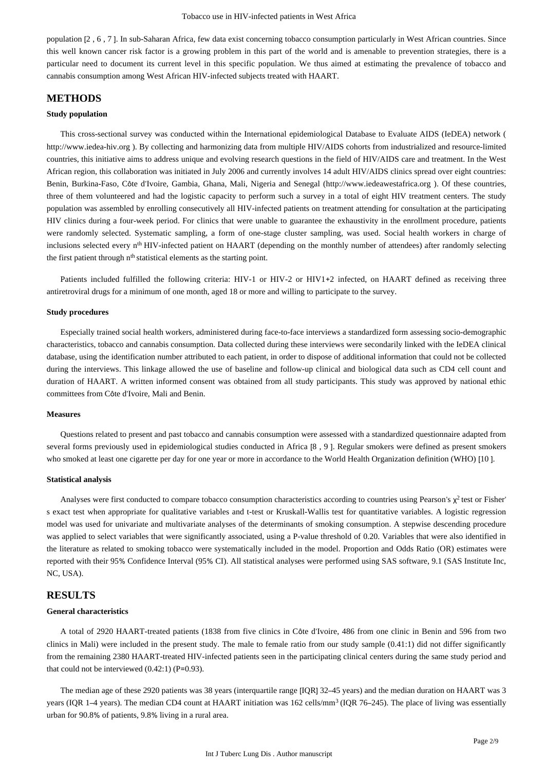population [2 , 6 , 7 ]. In sub-Saharan Africa, few data exist concerning tobacco consumption particularly in West African countries. Since this well known cancer risk factor is a growing problem in this part of the world and is amenable to prevention strategies, there is a particular need to document its current level in this specific population. We thus aimed at estimating the prevalence of tobacco and cannabis consumption among West African HIV-infected subjects treated with HAART.

## **METHODS**

#### **Study population**

This cross-sectional survey was conducted within the International epidemiological Database to Evaluate AIDS (IeDEA) network ( http://www.iedea-hiv.org ). By collecting and harmonizing data from multiple HIV/AIDS cohorts from industrialized and resource-limited countries, this initiative aims to address unique and evolving research questions in the field of HIV/AIDS care and treatment. In the West African region, this collaboration was initiated in July 2006 and currently involves 14 adult HIV/AIDS clinics spread over eight countries: Benin, Burkina-Faso, Côte d'Ivoire, Gambia, Ghana, Mali, Nigeria and Senegal (http://www.iedeawestafrica.org ). Of these countries, three of them volunteered and had the logistic capacity to perform such a survey in a total of eight HIV treatment centers. The study population was assembled by enrolling consecutively all HIV-infected patients on treatment attending for consultation at the participating HIV clinics during a four-week period. For clinics that were unable to guarantee the exhaustivity in the enrollment procedure, patients were randomly selected. Systematic sampling, a form of one-stage cluster sampling, was used. Social health workers in charge of inclusions selected every n<sup>th</sup> HIV-infected patient on HAART (depending on the monthly number of attendees) after randomly selecting the first patient through n<sup>th</sup> statistical elements as the starting point.

Patients included fulfilled the following criteria: HIV-1 or HIV-2 or HIV1+2 infected, on HAART defined as receiving three antiretroviral drugs for a minimum of one month, aged 18 or more and willing to participate to the survey.

#### **Study procedures**

Especially trained social health workers, administered during face-to-face interviews a standardized form assessing socio-demographic characteristics, tobacco and cannabis consumption. Data collected during these interviews were secondarily linked with the IeDEA clinical database, using the identification number attributed to each patient, in order to dispose of additional information that could not be collected during the interviews. This linkage allowed the use of baseline and follow-up clinical and biological data such as CD4 cell count and duration of HAART. A written informed consent was obtained from all study participants. This study was approved by national ethic committees from Côte d'Ivoire, Mali and Benin.

## **Measures**

Questions related to present and past tobacco and cannabis consumption were assessed with a standardized questionnaire adapted from several forms previously used in epidemiological studies conducted in Africa [8, 9]. Regular smokers were defined as present smokers who smoked at least one cigarette per day for one year or more in accordance to the World Health Organization definition (WHO) [10 ].

#### **Statistical analysis**

Analyses were first conducted to compare tobacco consumption characteristics according to countries using Pearson's  $\chi^2$  test or Fisher' s exact test when appropriate for qualitative variables and t-test or Kruskall-Wallis test for quantitative variables. A logistic regression model was used for univariate and multivariate analyses of the determinants of smoking consumption. A stepwise descending procedure was applied to select variables that were significantly associated, using a P-value threshold of 0.20. Variables that were also identified in the literature as related to smoking tobacco were systematically included in the model. Proportion and Odds Ratio (OR) estimates were reported with their 95% Confidence Interval (95% CI). All statistical analyses were performed using SAS software, 9.1 (SAS Institute Inc, NC, USA).

## **RESULTS**

#### **General characteristics**

A total of 2920 HAART-treated patients (1838 from five clinics in Côte d'Ivoire, 486 from one clinic in Benin and 596 from two clinics in Mali) were included in the present study. The male to female ratio from our study sample (0.41:1) did not differ significantly from the remaining 2380 HAART-treated HIV-infected patients seen in the participating clinical centers during the same study period and that could not be interviewed  $(0.42:1)$  (P=0.93).

The median age of these 2920 patients was 38 years (interquartile range [IQR] 32–45 years) and the median duration on HAART was 3 years (IQR 1–4 years). The median CD4 count at HAART initiation was  $162$  cells/mm<sup>3</sup> (IQR 76–245). The place of living was essentially urban for 90.8% of patients, 9.8% living in a rural area.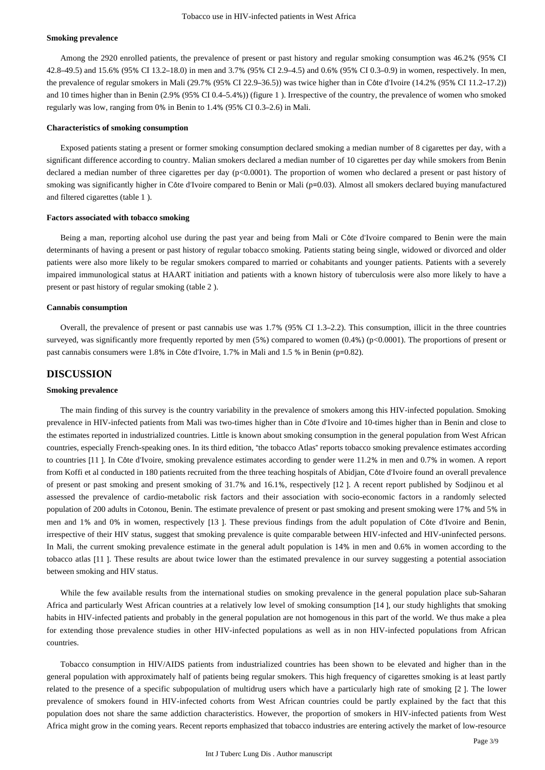#### **Smoking prevalence**

Among the 2920 enrolled patients, the prevalence of present or past history and regular smoking consumption was 46.2% (95% CI 42.8–49.5) and 15.6% (95% CI 13.2–18.0) in men and 3.7% (95% CI 2.9–4.5) and 0.6% (95% CI 0.3–0.9) in women, respectively. In men, the prevalence of regular smokers in Mali (29.7% (95% CI 22.9–36.5)) was twice higher than in Côte d'Ivoire (14.2% (95% CI 11.2–17.2)) and 10 times higher than in Benin (2.9% (95% CI 0.4–5.4%)) (figure 1 ). Irrespective of the country, the prevalence of women who smoked regularly was low, ranging from 0% in Benin to 1.4% (95% CI 0.3–2.6) in Mali.

#### **Characteristics of smoking consumption**

Exposed patients stating a present or former smoking consumption declared smoking a median number of 8 cigarettes per day, with a significant difference according to country. Malian smokers declared a median number of 10 cigarettes per day while smokers from Benin declared a median number of three cigarettes per day (p<0.0001). The proportion of women who declared a present or past history of smoking was significantly higher in Côte d'Ivoire compared to Benin or Mali (p=0.03). Almost all smokers declared buying manufactured and filtered cigarettes (table 1 ).

#### **Factors associated with tobacco smoking**

Being a man, reporting alcohol use during the past year and being from Mali or Côte d'Ivoire compared to Benin were the main determinants of having a present or past history of regular tobacco smoking. Patients stating being single, widowed or divorced and older patients were also more likely to be regular smokers compared to married or cohabitants and younger patients. Patients with a severely impaired immunological status at HAART initiation and patients with a known history of tuberculosis were also more likely to have a present or past history of regular smoking (table 2 ).

#### **Cannabis consumption**

Overall, the prevalence of present or past cannabis use was 1.7% (95% CI 1.3–2.2). This consumption, illicit in the three countries surveyed, was significantly more frequently reported by men (5%) compared to women (0.4%) (p<0.0001). The proportions of present or past cannabis consumers were 1.8% in Côte d'Ivoire, 1.7% in Mali and 1.5 % in Benin (p=0.82).

## **DISCUSSION**

#### **Smoking prevalence**

The main finding of this survey is the country variability in the prevalence of smokers among this HIV-infected population. Smoking prevalence in HIV-infected patients from Mali was two-times higher than in Côte d'Ivoire and 10-times higher than in Benin and close to the estimates reported in industrialized countries. Little is known about smoking consumption in the general population from West African countries, especially French-speaking ones. In its third edition, "the tobacco Atlas" reports tobacco smoking prevalence estimates according to countries [11 ]. In Côte d'Ivoire, smoking prevalence estimates according to gender were 11.2% in men and 0.7% in women. A report from Koffi et al conducted in 180 patients recruited from the three teaching hospitals of Abidjan, Côte d'Ivoire found an overall prevalence of present or past smoking and present smoking of 31.7% and 16.1%, respectively [12 ]. A recent report published by Sodjinou et al assessed the prevalence of cardio-metabolic risk factors and their association with socio-economic factors in a randomly selected population of 200 adults in Cotonou, Benin. The estimate prevalence of present or past smoking and present smoking were 17% and 5% in men and 1% and 0% in women, respectively [13 ]. These previous findings from the adult population of Côte d'Ivoire and Benin, irrespective of their HIV status, suggest that smoking prevalence is quite comparable between HIV-infected and HIV-uninfected persons. In Mali, the current smoking prevalence estimate in the general adult population is 14% in men and 0.6% in women according to the tobacco atlas [11 ]. These results are about twice lower than the estimated prevalence in our survey suggesting a potential association between smoking and HIV status.

While the few available results from the international studies on smoking prevalence in the general population place sub-Saharan Africa and particularly West African countries at a relatively low level of smoking consumption [14 ], our study highlights that smoking habits in HIV-infected patients and probably in the general population are not homogenous in this part of the world. We thus make a plea for extending those prevalence studies in other HIV-infected populations as well as in non HIV-infected populations from African countries.

Tobacco consumption in HIV/AIDS patients from industrialized countries has been shown to be elevated and higher than in the general population with approximately half of patients being regular smokers. This high frequency of cigarettes smoking is at least partly related to the presence of a specific subpopulation of multidrug users which have a particularly high rate of smoking [2 ]. The lower prevalence of smokers found in HIV-infected cohorts from West African countries could be partly explained by the fact that this population does not share the same addiction characteristics. However, the proportion of smokers in HIV-infected patients from West Africa might grow in the coming years. Recent reports emphasized that tobacco industries are entering actively the market of low-resource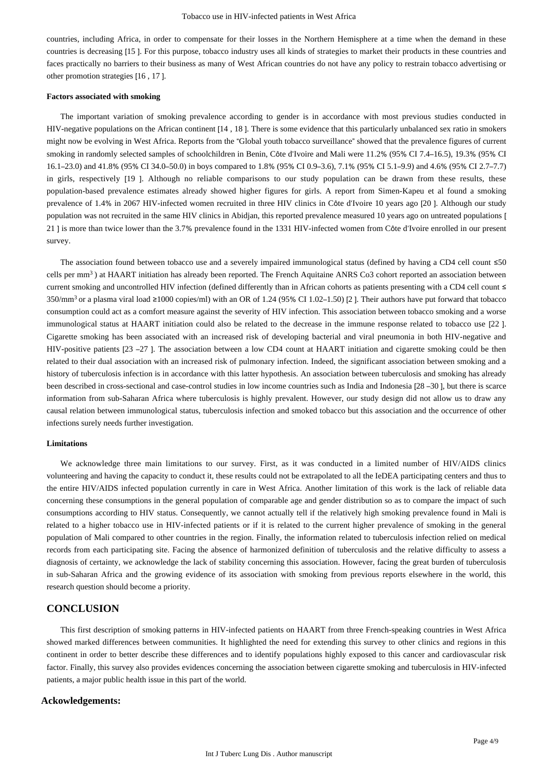countries, including Africa, in order to compensate for their losses in the Northern Hemisphere at a time when the demand in these countries is decreasing [15 ]. For this purpose, tobacco industry uses all kinds of strategies to market their products in these countries and faces practically no barriers to their business as many of West African countries do not have any policy to restrain tobacco advertising or other promotion strategies [16 , 17 ].

#### **Factors associated with smoking**

The important variation of smoking prevalence according to gender is in accordance with most previous studies conducted in HIV-negative populations on the African continent [14 , 18 ]. There is some evidence that this particularly unbalanced sex ratio in smokers might now be evolving in West Africa. Reports from the "Global youth tobacco surveillance" showed that the prevalence figures of current smoking in randomly selected samples of schoolchildren in Benin, Côte d'Ivoire and Mali were 11.2% (95% CI 7.4–16.5), 19.3% (95% CI 16.1–23.0) and 41.8% (95% CI 34.0–50.0) in boys compared to 1.8% (95% CI 0.9–3.6), 7.1% (95% CI 5.1–9.9) and 4.6% (95% CI 2.7–7.7) in girls, respectively [19 ]. Although no reliable comparisons to our study population can be drawn from these results, these population-based prevalence estimates already showed higher figures for girls. A report from Simen-Kapeu et al found a smoking prevalence of 1.4% in 2067 HIV-infected women recruited in three HIV clinics in Côte d'Ivoire 10 years ago [20 ]. Although our study population was not recruited in the same HIV clinics in Abidjan, this reported prevalence measured 10 years ago on untreated populations [ 21 ] is more than twice lower than the 3.7% prevalence found in the 1331 HIV-infected women from Côte d'Ivoire enrolled in our present survey.

The association found between tobacco use and a severely impaired immunological status (defined by having a CD4 cell count ≤50 cells per mm<sup>3</sup>) at HAART initiation has already been reported. The French Aquitaine ANRS Co3 cohort reported an association between current smoking and uncontrolled HIV infection (defined differently than in African cohorts as patients presenting with a CD4 cell count ≤ 350/mm<sup>3</sup> or a plasma viral load ≥1000 copies/ml) with an OR of 1.24 (95% CI 1.02–1.50) [2]. Their authors have put forward that tobacco consumption could act as a comfort measure against the severity of HIV infection. This association between tobacco smoking and a worse immunological status at HAART initiation could also be related to the decrease in the immune response related to tobacco use [22 ]. Cigarette smoking has been associated with an increased risk of developing bacterial and viral pneumonia in both HIV-negative and HIV-positive patients [23 –27 ]. The association between a low CD4 count at HAART initiation and cigarette smoking could be then related to their dual association with an increased risk of pulmonary infection. Indeed, the significant association between smoking and a history of tuberculosis infection is in accordance with this latter hypothesis. An association between tuberculosis and smoking has already been described in cross-sectional and case-control studies in low income countries such as India and Indonesia [28 –30 ], but there is scarce information from sub-Saharan Africa where tuberculosis is highly prevalent. However, our study design did not allow us to draw any causal relation between immunological status, tuberculosis infection and smoked tobacco but this association and the occurrence of other infections surely needs further investigation.

#### **Limitations**

We acknowledge three main limitations to our survey. First, as it was conducted in a limited number of HIV/AIDS clinics volunteering and having the capacity to conduct it, these results could not be extrapolated to all the IeDEA participating centers and thus to the entire HIV/AIDS infected population currently in care in West Africa. Another limitation of this work is the lack of reliable data concerning these consumptions in the general population of comparable age and gender distribution so as to compare the impact of such consumptions according to HIV status. Consequently, we cannot actually tell if the relatively high smoking prevalence found in Mali is related to a higher tobacco use in HIV-infected patients or if it is related to the current higher prevalence of smoking in the general population of Mali compared to other countries in the region. Finally, the information related to tuberculosis infection relied on medical records from each participating site. Facing the absence of harmonized definition of tuberculosis and the relative difficulty to assess a diagnosis of certainty, we acknowledge the lack of stability concerning this association. However, facing the great burden of tuberculosis in sub-Saharan Africa and the growing evidence of its association with smoking from previous reports elsewhere in the world, this research question should become a priority.

# **CONCLUSION**

This first description of smoking patterns in HIV-infected patients on HAART from three French-speaking countries in West Africa showed marked differences between communities. It highlighted the need for extending this survey to other clinics and regions in this continent in order to better describe these differences and to identify populations highly exposed to this cancer and cardiovascular risk factor. Finally, this survey also provides evidences concerning the association between cigarette smoking and tuberculosis in HIV-infected patients, a major public health issue in this part of the world.

#### **Ackowledgements:**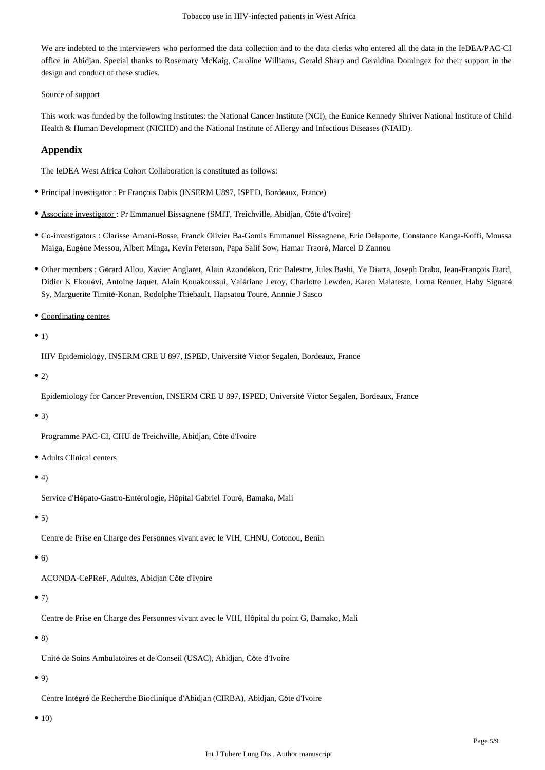We are indebted to the interviewers who performed the data collection and to the data clerks who entered all the data in the IeDEA/PAC-CI office in Abidjan. Special thanks to Rosemary McKaig, Caroline Williams, Gerald Sharp and Geraldina Domingez for their support in the design and conduct of these studies.

Source of support

This work was funded by the following institutes: the National Cancer Institute (NCI), the Eunice Kennedy Shriver National Institute of Child Health & Human Development (NICHD) and the National Institute of Allergy and Infectious Diseases (NIAID).

## **Appendix**

The IeDEA West Africa Cohort Collaboration is constituted as follows:

- **Principal investigator : Pr François Dabis (INSERM U897, ISPED, Bordeaux, France)**
- Associate investigator : Pr Emmanuel Bissagnene (SMIT, Treichville, Abidjan, Côte d'Ivoire)
- Co-investigators : Clarisse Amani-Bosse, Franck Olivier Ba-Gomis Emmanuel Bissagnene, Eric Delaporte, Constance Kanga-Koffi, Moussa Maiga, Eugène Messou, Albert Minga, Kevin Peterson, Papa Salif Sow, Hamar Traoré, Marcel D Zannou
- Other members : Gérard Allou, Xavier Anglaret, Alain Azondékon, Eric Balestre, Jules Bashi, Ye Diarra, Joseph Drabo, Jean-François Etard, Didier K Ekouévi, Antoine Jaquet, Alain Kouakoussui, Valériane Leroy, Charlotte Lewden, Karen Malateste, Lorna Renner, Haby Signaté Sy, Marguerite Timité-Konan, Rodolphe Thiebault, Hapsatou Touré, Annnie J Sasco

Coordinating centres

## $\bullet$  1)

HIV Epidemiology, INSERM CRE U 897, ISPED, Université Victor Segalen, Bordeaux, France

 $\bullet$  2)

Epidemiology for Cancer Prevention, INSERM CRE U 897, ISPED, Université Victor Segalen, Bordeaux, France

## $\bullet$  3)

Programme PAC-CI, CHU de Treichville, Abidjan, Côte d'Ivoire

Adults Clinical centers

## $\bullet$  4)

Service d'Hépato-Gastro-Entérologie, Hôpital Gabriel Touré, Bamako, Mali

## $• 5)$

Centre de Prise en Charge des Personnes vivant avec le VIH, CHNU, Cotonou, Benin

## $\bullet$  6)

ACONDA-CePReF, Adultes, Abidjan Côte d'Ivoire

# $• 7)$

Centre de Prise en Charge des Personnes vivant avec le VIH, Hôpital du point G, Bamako, Mali

## $• 8)$

Unité de Soins Ambulatoires et de Conseil (USAC), Abidjan, Côte d'Ivoire

## $\bullet$  9)

Centre Intégré de Recherche Bioclinique d'Abidjan (CIRBA), Abidjan, Côte d'Ivoire

## •  $10)$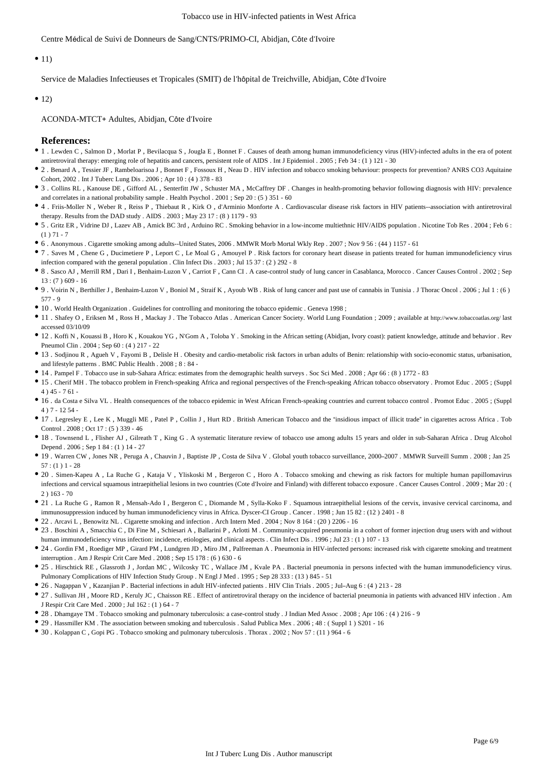Centre Médical de Suivi de Donneurs de Sang/CNTS/PRIMO-CI, Abidjan, Côte d'Ivoire

#### $\bullet$  11)

Service de Maladies Infectieuses et Tropicales (SMIT) de l'hôpital de Treichville, Abidjan, Côte d'Ivoire

#### $\bullet$  12)

ACONDA-MTCT+ Adultes, Abidjan, Côte d'Ivoire

#### **References:**

- 1 . Lewden C , Salmon D , Morlat P , Bevilacqua S , Jougla E , Bonnet F . Causes of death among human immunodeficiency virus (HIV)-infected adults in the era of potent antiretroviral therapy: emerging role of hepatitis and cancers, persistent role of AIDS . Int J Epidemiol . 2005 ; Feb 34 : (1 ) 121 - 30
- 2 . Benard A , Tessier JF , Rambeloarisoa J , Bonnet F , Fossoux H , Neau D . HIV infection and tobacco smoking behaviour: prospects for prevention? ANRS CO3 Aquitaine Cohort, 2002 . Int J Tuberc Lung Dis . 2006 ; Apr 10 : (4 ) 378 - 83
- 3 . Collins RL , Kanouse DE , Gifford AL , Senterfitt JW , Schuster MA , McCaffrey DF . Changes in health-promoting behavior following diagnosis with HIV: prevalence and correlates in a national probability sample . Health Psychol . 2001 ; Sep 20 : (5 ) 351 - 60
- 4 . Friis-Moller N , Weber R , Reiss P , Thiebaut R , Kirk O , d'Arminio Monforte A . Cardiovascular disease risk factors in HIV patients--association with antiretroviral therapy. Results from the DAD study . AIDS . 2003 ; May 23 17 : (8 ) 1179 - 93
- 5 . Gritz ER , Vidrine DJ , Lazev AB , Amick BC 3rd , Arduino RC . Smoking behavior in a low-income multiethnic HIV/AIDS population . Nicotine Tob Res . 2004 ; Feb 6 :  $(1) 71 - 7$
- 6 . Anonymous . Cigarette smoking among adults--United States, 2006 . MMWR Morb Mortal Wkly Rep . 2007 ; Nov 9 56 : (44 ) 1157 61
- 7 . Saves M , Chene G , Ducimetiere P , Leport C , Le Moal G , Amouyel P . Risk factors for coronary heart disease in patients treated for human immunodeficiency virus infection compared with the general population . Clin Infect Dis . 2003 ; Jul 15 37 : (2 ) 292 - 8
- 8 . Sasco AJ , Merrill RM , Dari I , Benhaim-Luzon V , Carriot F , Cann CI . A case-control study of lung cancer in Casablanca, Morocco . Cancer Causes Control . 2002 ; Sep  $13: (7)$  609 - 16
- 9 . Voirin N , Berthiller J , Benhaim-Luzon V , Boniol M , Straif K , Ayoub WB . Risk of lung cancer and past use of cannabis in Tunisia . J Thorac Oncol . 2006 ; Jul 1 : (6 ) 577 - 9
- 10 . World Health Organization . Guidelines for controlling and monitoring the tobacco epidemic . Geneva 1998 ;
- 11 . Shafey O , Eriksen M , Ross H , Mackay J . The Tobacco Atlas . American Cancer Society. World Lung Foundation ; 2009 ; available at http://www.tobaccoatlas.org/ last accessed 03/10/09
- 12 . Koffi N , Kouassi B , Horo K , Kouakou YG , N'Gom A , Toloba Y . Smoking in the African setting (Abidjan, Ivory coast): patient knowledge, attitude and behavior . Rev Pneumol Clin . 2004 ; Sep 60 : (4 ) 217 - 22
- 13 . Sodjinou R , Agueh V , Fayomi B , Delisle H . Obesity and cardio-metabolic risk factors in urban adults of Benin: relationship with socio-economic status, urbanisation, and lifestyle patterns . BMC Public Health . 2008 ; 8 : 84 -
- <sup>1</sup> 14 . Pampel F . Tobacco use in sub-Sahara Africa: estimates from the demographic health surveys . Soc Sci Med . 2008 ; Apr 66 : (8 ) 1772 83
- 15 . Cherif MH . The tobacco problem in French-speaking Africa and regional perspectives of the French-speaking African tobacco observatory . Promot Educ . 2005 ; (Suppl 4 ) 45 - 7 61 -
- 16 . da Costa e Silva VL . Health consequences of the tobacco epidemic in West African French-speaking countries and current tobacco control . Promot Educ . 2005 ; (Suppl 4 ) 7 - 12 54 -
- 17 . Legresley E , Lee K , Muggli ME , Patel P , Collin J , Hurt RD . British American Tobacco and the "insidious impact of illicit trade" in cigarettes across Africa . Tob Control . 2008 ; Oct 17 : (5 ) 339 - 46
- 18 . Townsend L , Flisher AJ , Gilreath T , King G . A systematic literature review of tobacco use among adults 15 years and older in sub-Saharan Africa . Drug Alcohol Depend . 2006 ; Sep 1 84 : (1 ) 14 - 27
- 19 . Warren CW , Jones NR , Peruga A , Chauvin J , Baptiste JP , Costa de Silva V . Global youth tobacco surveillance, 2000–2007 . MMWR Surveill Summ . 2008 ; Jan 25 57 : (1 ) 1 - 28
- 20 . Simen-Kapeu A , La Ruche G , Kataja V , Yliskoski M , Bergeron C , Horo A . Tobacco smoking and chewing as risk factors for multiple human papillomavirus infections and cervical squamous intraepithelial lesions in two countries (Cote d'Ivoire and Finland) with different tobacco exposure . Cancer Causes Control . 2009 ; Mar 20 : ( 2 ) 163 - 70
- 21 . La Ruche G , Ramon R , Mensah-Ado I , Bergeron C , Diomande M , Sylla-Koko F . Squamous intraepithelial lesions of the cervix, invasive cervical carcinoma, and immunosuppression induced by human immunodeficiency virus in Africa. Dyscer-CI Group . Cancer . 1998 ; Jun 15 82 : (12 ) 2401 - 8
- 22 . Arcavi L , Benowitz NL . Cigarette smoking and infection . Arch Intern Med . 2004 ; Nov 8 164 : (20 ) 2206 16
- 23 . Boschini A, Smacchia C, Di Fine M, Schiesari A, Ballarini P, Arlotti M. Community-acquired pneumonia in a cohort of former injection drug users with and without human immunodeficiency virus infection: incidence, etiologies, and clinical aspects . Clin Infect Dis . 1996; Jul 23 : (1) 107 - 13
- 24 . Gordin FM , Roediger MP , Girard PM , Lundgren JD , Miro JM , Palfreeman A . Pneumonia in HIV-infected persons: increased risk with cigarette smoking and treatment interruption . Am J Respir Crit Care Med . 2008 ; Sep 15 178 : (6 ) 630 - 6
- 25 . Hirschtick RE , Glassroth J , Jordan MC , Wilcosky TC , Wallace JM , Kvale PA . Bacterial pneumonia in persons infected with the human immunodeficiency virus. Pulmonary Complications of HIV Infection Study Group . N Engl J Med . 1995 ; Sep 28 333 : (13 ) 845 - 51
- 26 . Nagappan V , Kazanjian P . Bacterial infections in adult HIV-infected patients . HIV Clin Trials . 2005 ; Jul–Aug 6 : (4 ) 213 28
- 27 . Sullivan JH , Moore RD , Keruly JC , Chaisson RE . Effect of antiretroviral therapy on the incidence of bacterial pneumonia in patients with advanced HIV infection . Am J Respir Crit Care Med . 2000 ; Jul 162 : (1 ) 64 - 7
- 28 . Dhamgaye TM . Tobacco smoking and pulmonary tuberculosis: a case-control study . J Indian Med Assoc . 2008 ; Apr 106 : (4 ) 216 9
- 29 . Hassmiller KM . The association between smoking and tuberculosis . Salud Publica Mex . 2006 ; 48 : (Suppl 1 ) S201 16
- $\bullet$  30. Kolappan C. Gopi PG. Tobacco smoking and pulmonary tuberculosis. Thorax  $2002 \cdot \text{Nov } 57 \cdot (11)$  964 6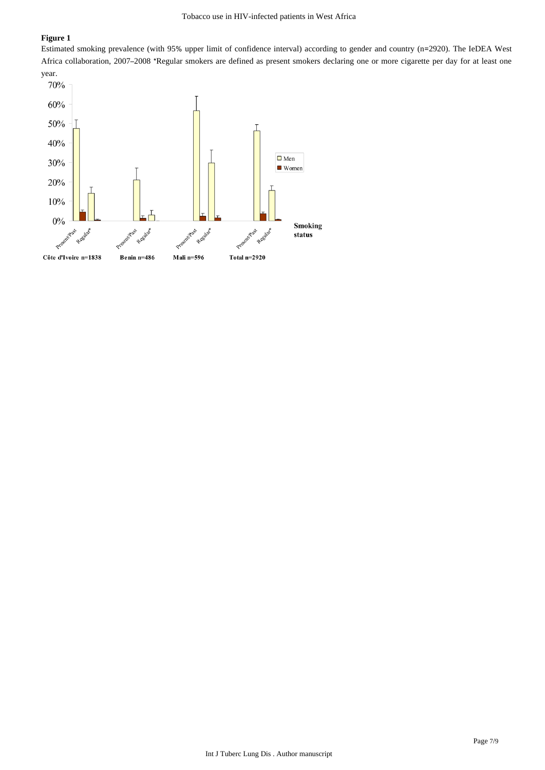## **Figure 1**

Estimated smoking prevalence (with 95% upper limit of confidence interval) according to gender and country (n=2920). The IeDEA West Africa collaboration, 2007–2008 \*Regular smokers are defined as present smokers declaring one or more cigarette per day for at least one year.

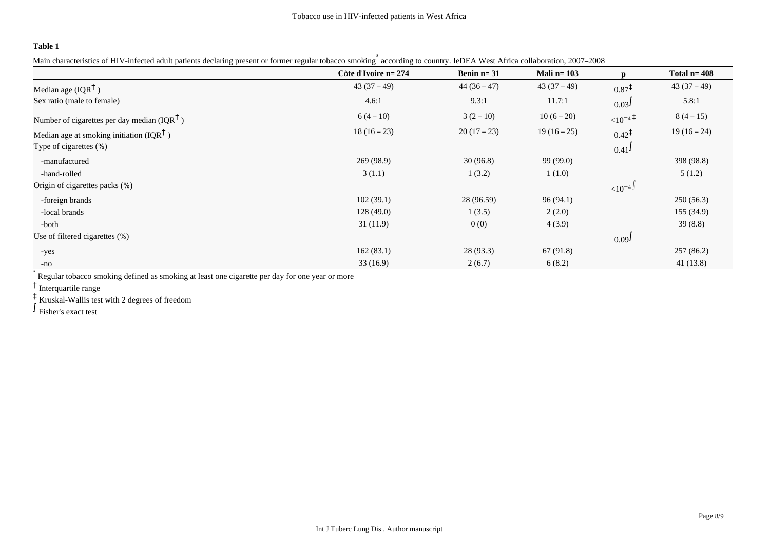## **Table 1**

Main characteristics of HIV-infected adult patients declaring present or former regular tobacco smoking according to country. IeDEA West Africa collaboration, 2007–2008

|                                                         | Côte d'Ivoire n= 274 | Benin $n=31$ | Mali n= $103$ | $\mathbf{p}$        | Total $n = 408$ |
|---------------------------------------------------------|----------------------|--------------|---------------|---------------------|-----------------|
| Median age $(IQR^{\dagger})$                            | $43(37-49)$          | $44(36-47)$  | $43(37-49)$   | $0.87^{\ddagger}$   | $43(37-49)$     |
| Sex ratio (male to female)                              | 4.6:1                | 9.3:1        | 11.7:1        | 0.03 <sup>J</sup>   | 5.8:1           |
| Number of cigarettes per day median (IQR <sup>T</sup> ) | $6(4-10)$            | $3(2-10)$    | $10(6-20)$    | $10^{-4}$           | $8(4-15)$       |
| Median age at smoking initiation (IQR <sup>T</sup> )    | $18(16-23)$          | $20(17-23)$  | $19(16-25)$   | $0.42^{\ddagger}$   | $19(16-24)$     |
| Type of cigarettes (%)                                  |                      |              |               | $0.41$ <sup>J</sup> |                 |
| -manufactured                                           | 269 (98.9)           | 30(96.8)     | 99 (99.0)     |                     | 398 (98.8)      |
| -hand-rolled                                            | 3(1.1)               | 1(3.2)       | 1(1.0)        |                     | 5(1.2)          |
| Origin of cigarettes packs (%)                          |                      |              |               | ${10^{-4}}$         |                 |
| -foreign brands                                         | 102(39.1)            | 28 (96.59)   | 96(94.1)      |                     | 250(56.3)       |
| -local brands                                           | 128(49.0)            | 1(3.5)       | 2(2.0)        |                     | 155(34.9)       |
| -both                                                   | 31(11.9)             | 0(0)         | 4(3.9)        |                     | 39(8.8)         |
| Use of filtered cigarettes (%)                          |                      |              |               | 0.09 <sup>J</sup>   |                 |
| -yes                                                    | 162(83.1)            | 28(93.3)     | 67 (91.8)     |                     | 257(86.2)       |
| $-no$                                                   | 33(16.9)             | 2(6.7)       | 6(8.2)        |                     | 41(13.8)        |

\* Regular tobacco smoking defined as smoking at least one cigarette per day for one year or more

† Interquartile range

‡ Kruskal-Wallis test with 2 degrees of freedom

∫ Fisher's exact test